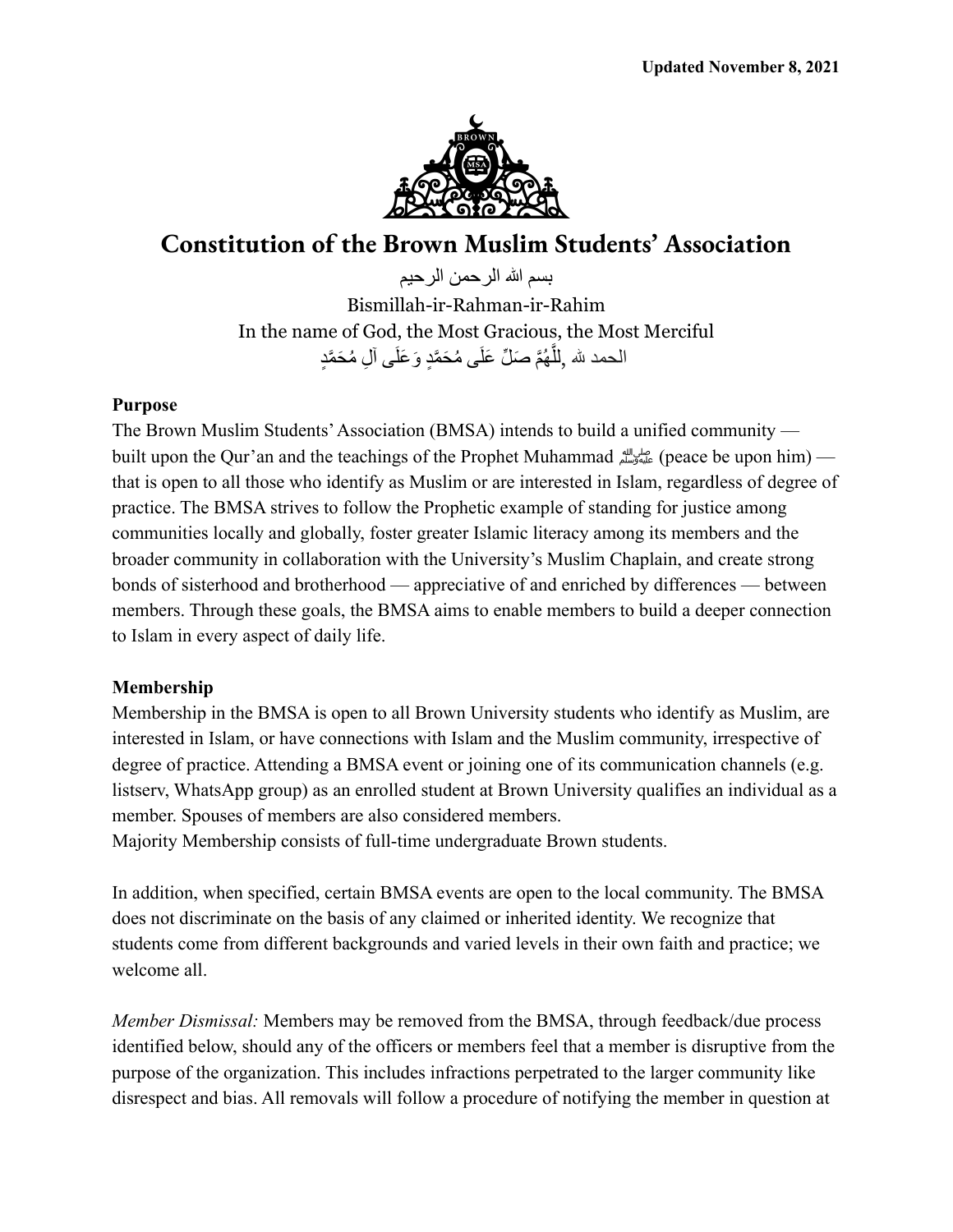

# **Constitution of the Brown Muslim Students' Association**

بسم الله الرحمن الرحيم Bismillah-ir-Rahman-ir-Rahim In the name of God, the Most Gracious, the Most Merciful الحمد لله ,لِلَّـهُمَّ صَلِّ عَلَى مُحَمَّدٍ وَعَلَى آلِ مُحَمَّدٍ

### **Purpose**

The Brown Muslim Students'Association (BMSA) intends to build a unified community built upon the Qur'an and the teachings of the Prophet Muhammad صلى الله (peace be upon him) that is open to all those who identify as Muslim or are interested in Islam, regardless of degree of practice. The BMSA strives to follow the Prophetic example of standing for justice among communities locally and globally, foster greater Islamic literacy among its members and the broader community in collaboration with the University's Muslim Chaplain, and create strong bonds of sisterhood and brotherhood — appreciative of and enriched by differences — between members. Through these goals, the BMSA aims to enable members to build a deeper connection to Islam in every aspect of daily life.

# **Membership**

Membership in the BMSA is open to all Brown University students who identify as Muslim, are interested in Islam, or have connections with Islam and the Muslim community, irrespective of degree of practice. Attending a BMSA event or joining one of its communication channels (e.g. listserv, WhatsApp group) as an enrolled student at Brown University qualifies an individual as a member. Spouses of members are also considered members.

Majority Membership consists of full-time undergraduate Brown students.

In addition, when specified, certain BMSA events are open to the local community. The BMSA does not discriminate on the basis of any claimed or inherited identity. We recognize that students come from different backgrounds and varied levels in their own faith and practice; we welcome all.

*Member Dismissal:* Members may be removed from the BMSA, through feedback/due process identified below, should any of the officers or members feel that a member is disruptive from the purpose of the organization. This includes infractions perpetrated to the larger community like disrespect and bias. All removals will follow a procedure of notifying the member in question at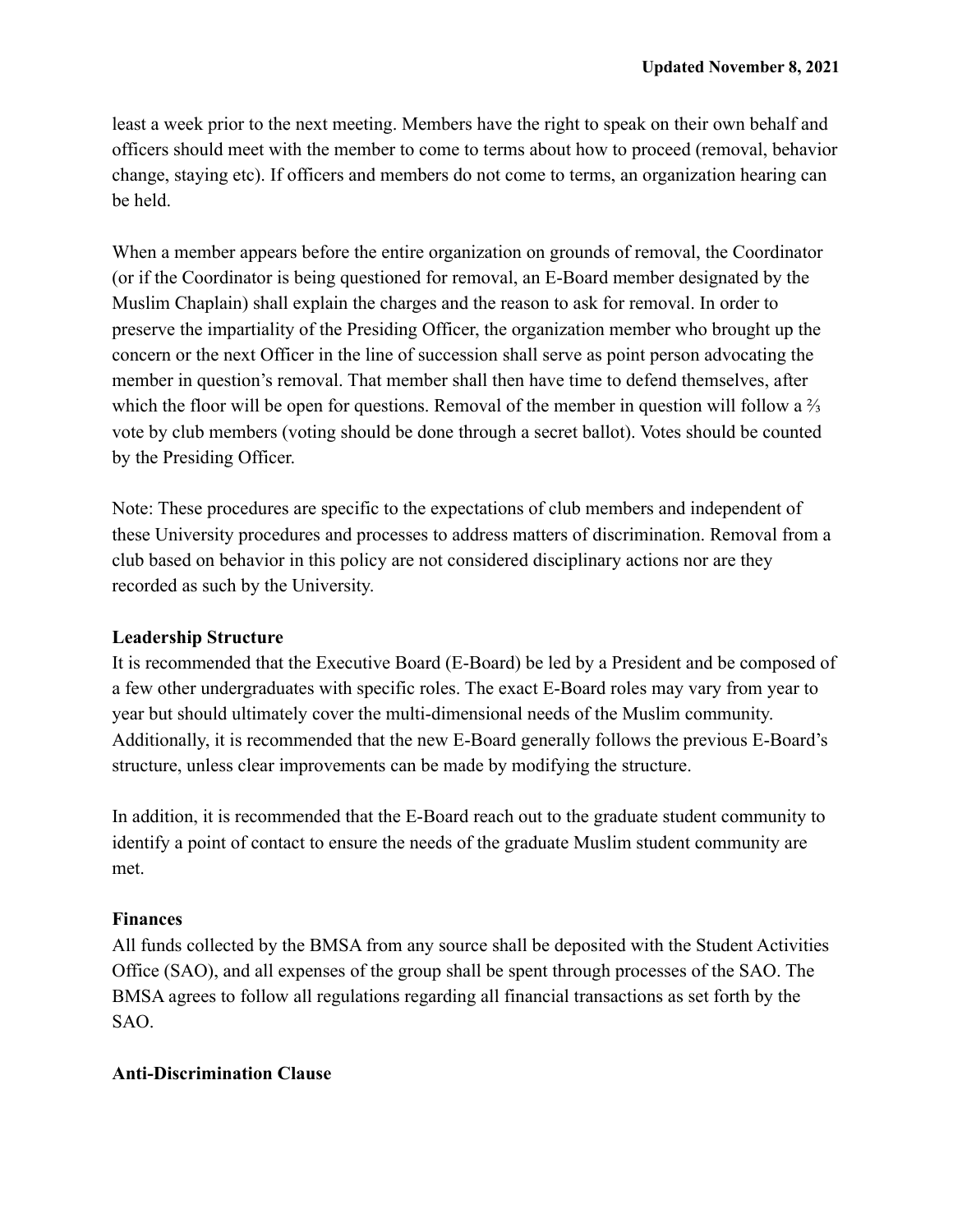least a week prior to the next meeting. Members have the right to speak on their own behalf and officers should meet with the member to come to terms about how to proceed (removal, behavior change, staying etc). If officers and members do not come to terms, an organization hearing can be held.

When a member appears before the entire organization on grounds of removal, the Coordinator (or if the Coordinator is being questioned for removal, an E-Board member designated by the Muslim Chaplain) shall explain the charges and the reason to ask for removal. In order to preserve the impartiality of the Presiding Officer, the organization member who brought up the concern or the next Officer in the line of succession shall serve as point person advocating the member in question's removal. That member shall then have time to defend themselves, after which the floor will be open for questions. Removal of the member in question will follow a  $\frac{2}{3}$ vote by club members (voting should be done through a secret ballot). Votes should be counted by the Presiding Officer.

Note: These procedures are specific to the expectations of club members and independent of these University procedures and processes to address matters of discrimination. Removal from a club based on behavior in this policy are not considered disciplinary actions nor are they recorded as such by the University.

#### **Leadership Structure**

It is recommended that the Executive Board (E-Board) be led by a President and be composed of a few other undergraduates with specific roles. The exact E-Board roles may vary from year to year but should ultimately cover the multi-dimensional needs of the Muslim community. Additionally, it is recommended that the new E-Board generally follows the previous E-Board's structure, unless clear improvements can be made by modifying the structure.

In addition, it is recommended that the E-Board reach out to the graduate student community to identify a point of contact to ensure the needs of the graduate Muslim student community are met.

# **Finances**

All funds collected by the BMSA from any source shall be deposited with the Student Activities Office (SAO), and all expenses of the group shall be spent through processes of the SAO. The BMSA agrees to follow all regulations regarding all financial transactions as set forth by the SAO.

# **Anti-Discrimination Clause**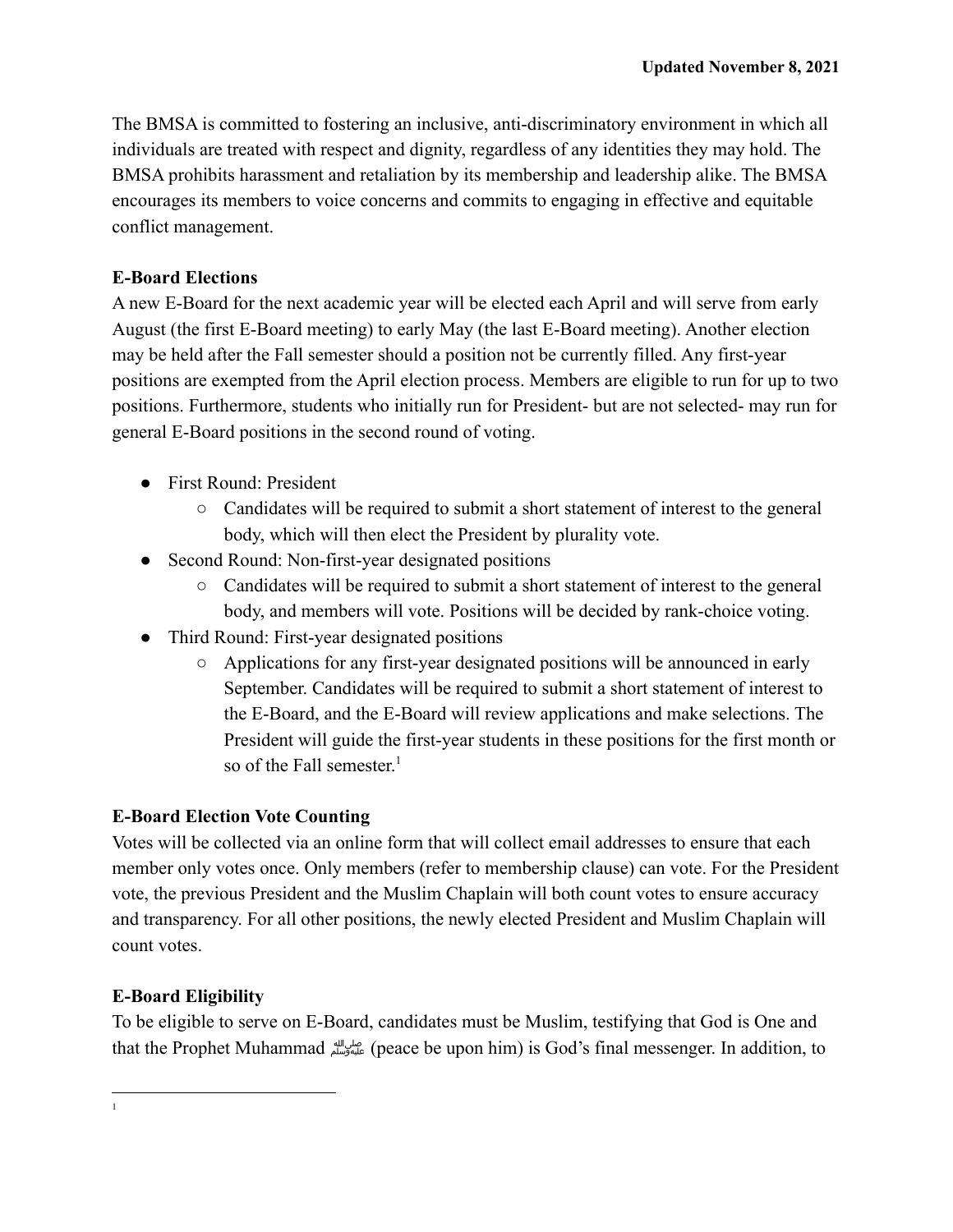The BMSA is committed to fostering an inclusive, anti-discriminatory environment in which all individuals are treated with respect and dignity, regardless of any identities they may hold. The BMSA prohibits harassment and retaliation by its membership and leadership alike. The BMSA encourages its members to voice concerns and commits to engaging in effective and equitable conflict management.

# **E-Board Elections**

A new E-Board for the next academic year will be elected each April and will serve from early August (the first E-Board meeting) to early May (the last E-Board meeting). Another election may be held after the Fall semester should a position not be currently filled. Any first-year positions are exempted from the April election process. Members are eligible to run for up to two positions. Furthermore, students who initially run for President- but are not selected- may run for general E-Board positions in the second round of voting.

- First Round: President
	- Candidates will be required to submit a short statement of interest to the general body, which will then elect the President by plurality vote.
- Second Round: Non-first-year designated positions
	- Candidates will be required to submit a short statement of interest to the general body, and members will vote. Positions will be decided by rank-choice voting.
- Third Round: First-year designated positions
	- Applications for any first-year designated positions will be announced in early September. Candidates will be required to submit a short statement of interest to the E-Board, and the E-Board will review applications and make selections. The President will guide the first-year students in these positions for the first month or so of the Fall semester.<sup>1</sup>

# **E-Board Election Vote Counting**

Votes will be collected via an online form that will collect email addresses to ensure that each member only votes once. Only members (refer to membership clause) can vote. For the President vote, the previous President and the Muslim Chaplain will both count votes to ensure accuracy and transparency. For all other positions, the newly elected President and Muslim Chaplain will count votes.

# **E-Board Eligibility**

To be eligible to serve on E-Board, candidates must be Muslim, testifying that God is One and that the Prophet Muhammadصلى الله عليه وسلم)peace be upon him) is God's final messenger. In addition, to

1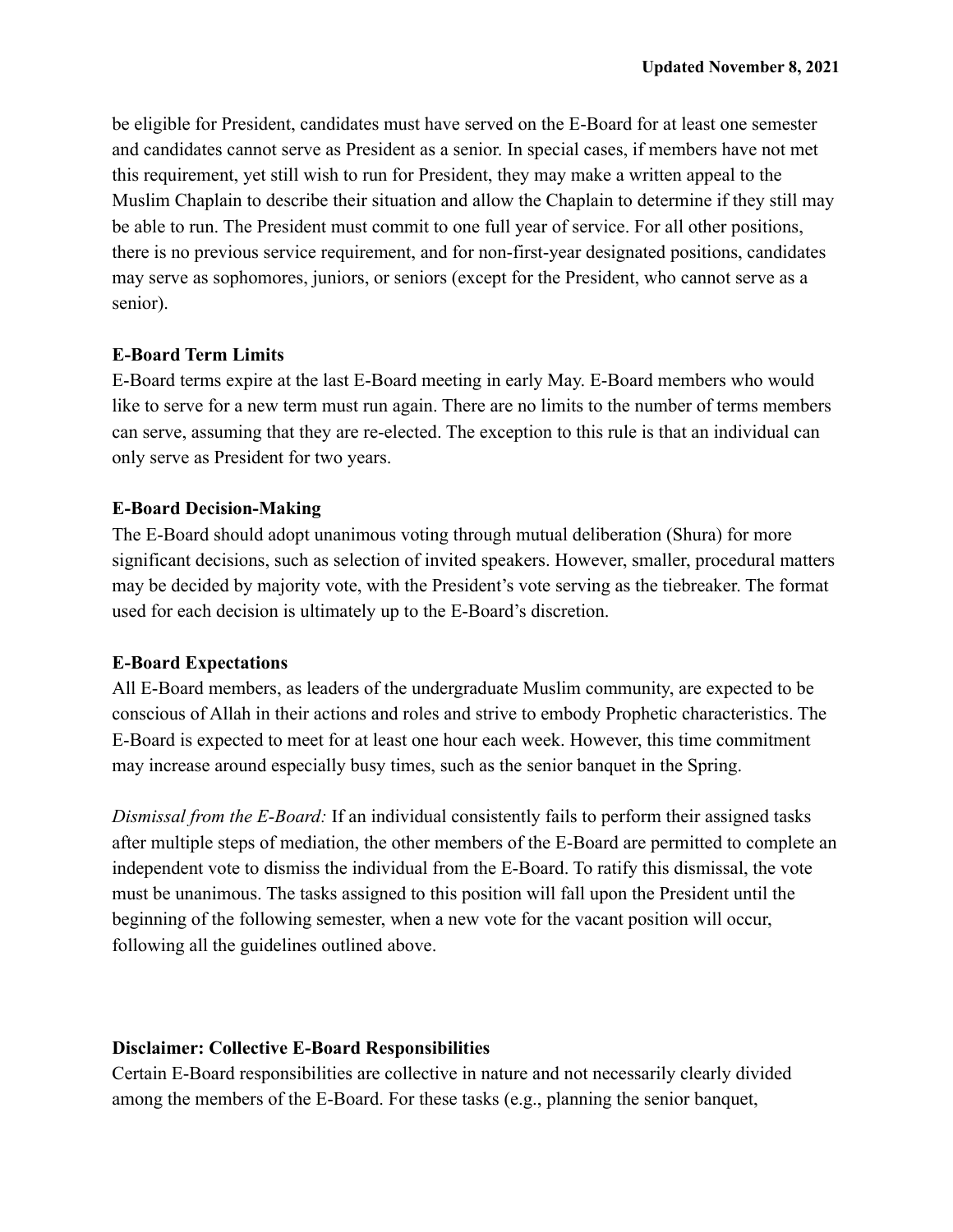be eligible for President, candidates must have served on the E-Board for at least one semester and candidates cannot serve as President as a senior. In special cases, if members have not met this requirement, yet still wish to run for President, they may make a written appeal to the Muslim Chaplain to describe their situation and allow the Chaplain to determine if they still may be able to run. The President must commit to one full year of service. For all other positions, there is no previous service requirement, and for non-first-year designated positions, candidates may serve as sophomores, juniors, or seniors (except for the President, who cannot serve as a senior).

# **E-Board Term Limits**

E-Board terms expire at the last E-Board meeting in early May. E-Board members who would like to serve for a new term must run again. There are no limits to the number of terms members can serve, assuming that they are re-elected. The exception to this rule is that an individual can only serve as President for two years.

### **E-Board Decision-Making**

The E-Board should adopt unanimous voting through mutual deliberation (Shura) for more significant decisions, such as selection of invited speakers. However, smaller, procedural matters may be decided by majority vote, with the President's vote serving as the tiebreaker. The format used for each decision is ultimately up to the E-Board's discretion.

#### **E-Board Expectations**

All E-Board members, as leaders of the undergraduate Muslim community, are expected to be conscious of Allah in their actions and roles and strive to embody Prophetic characteristics. The E-Board is expected to meet for at least one hour each week. However, this time commitment may increase around especially busy times, such as the senior banquet in the Spring.

*Dismissal from the E-Board:* If an individual consistently fails to perform their assigned tasks after multiple steps of mediation, the other members of the E-Board are permitted to complete an independent vote to dismiss the individual from the E-Board. To ratify this dismissal, the vote must be unanimous. The tasks assigned to this position will fall upon the President until the beginning of the following semester, when a new vote for the vacant position will occur, following all the guidelines outlined above.

#### **Disclaimer: Collective E-Board Responsibilities**

Certain E-Board responsibilities are collective in nature and not necessarily clearly divided among the members of the E-Board. For these tasks (e.g., planning the senior banquet,